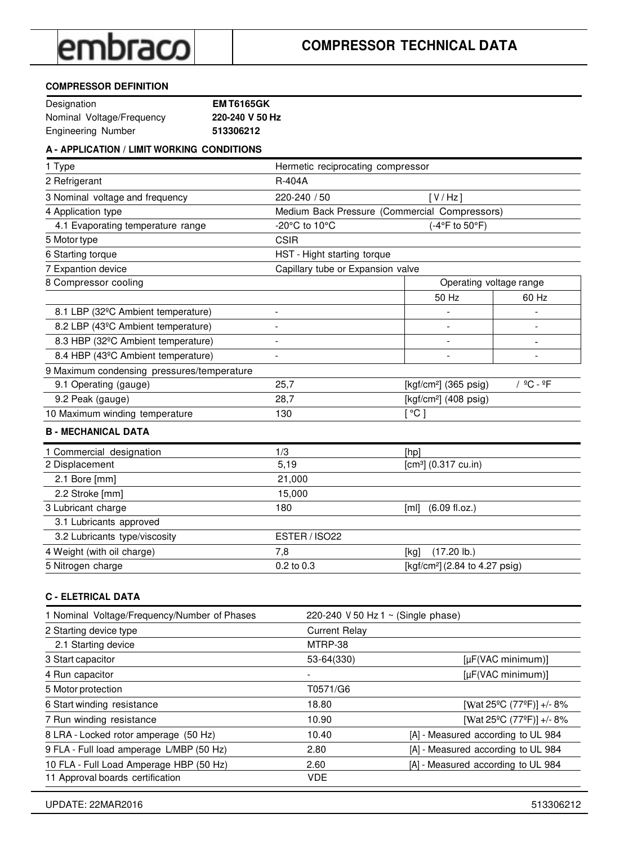#### **COMPRESSOR DEFINITION**

| Designation               | <b>EMT6165GK</b> |
|---------------------------|------------------|
| Nominal Voltage/Frequency | 220-240 V 50 Hz  |
| Engineering Number        | 513306212        |

### **A - APPLICATION / LIMIT WORKING CONDITIONS**

| 1 Type                                          | Hermetic reciprocating compressor |                                               |                                   |
|-------------------------------------------------|-----------------------------------|-----------------------------------------------|-----------------------------------|
| 2 Refrigerant                                   | R-404A                            |                                               |                                   |
| 3 Nominal voltage and frequency                 | 220-240 / 50                      | [V/Hz]                                        |                                   |
| 4 Application type                              |                                   | Medium Back Pressure (Commercial Compressors) |                                   |
| 4.1 Evaporating temperature range               | -20°C to 10°C                     | (-4°F to 50°F)                                |                                   |
| 5 Motor type                                    | <b>CSIR</b>                       |                                               |                                   |
| 6 Starting torque                               | HST - Hight starting torque       |                                               |                                   |
| 7 Expantion device                              | Capillary tube or Expansion valve |                                               |                                   |
| 8 Compressor cooling                            |                                   | Operating voltage range                       |                                   |
|                                                 |                                   | 50 Hz                                         | 60 Hz                             |
| 8.1 LBP (32°C Ambient temperature)              | $\overline{a}$                    |                                               |                                   |
| 8.2 LBP (43°C Ambient temperature)              | $\overline{\phantom{a}}$          | $\overline{\phantom{a}}$                      | $\overline{a}$                    |
| 8.3 HBP (32 <sup>o</sup> C Ambient temperature) |                                   | $\overline{\phantom{a}}$                      | $\qquad \qquad \blacksquare$      |
| 8.4 HBP (43°C Ambient temperature)              |                                   |                                               |                                   |
| 9 Maximum condensing pressures/temperature      |                                   |                                               |                                   |
| 9.1 Operating (gauge)                           | 25,7                              | [kgf/cm <sup>2</sup> ] $(365 \text{ psig})$   | / <sup>º</sup> C - <sup>º</sup> F |
| 9.2 Peak (gauge)                                | 28,7                              | [kgf/cm <sup>2</sup> ] (408 psig)             |                                   |
| 10 Maximum winding temperature                  | 130                               | $\lceil \, ^{\circ}C \rceil$                  |                                   |
| <b>B - MECHANICAL DATA</b>                      |                                   |                                               |                                   |
| 1 Commercial designation                        | 1/3                               | [hp]                                          |                                   |
| 2 Displacement                                  | 5,19                              | $[cm3]$ (0.317 cu.in)                         |                                   |
| 2.1 Bore [mm]                                   | 21,000                            |                                               |                                   |
| 2.2 Stroke [mm]                                 | 15,000                            |                                               |                                   |
| 3 Lubricant charge                              | 180                               | $(6.09$ fl.oz.)<br>[ml]                       |                                   |
| 3.1 Lubricants approved                         |                                   |                                               |                                   |
| 3.2 Lubricants type/viscosity                   | ESTER / ISO22                     |                                               |                                   |
| 4 Weight (with oil charge)                      | 7,8                               | $(17.20$ lb.)<br>[kg]                         |                                   |
| 5 Nitrogen charge                               | 0.2 to 0.3                        | [kgf/cm <sup>2</sup> ] (2.84 to 4.27 psig)    |                                   |

#### **C - ELETRICAL DATA**

| 1 Nominal Voltage/Frequency/Number of Phases | 220-240 V 50 Hz 1 ~ (Single phase) |                                                   |
|----------------------------------------------|------------------------------------|---------------------------------------------------|
| 2 Starting device type                       | <b>Current Relay</b>               |                                                   |
| 2.1 Starting device                          | MTRP-38                            |                                                   |
| 3 Start capacitor                            | 53-64(330)                         | $[\mu F(VAC minimum)]$                            |
| 4 Run capacitor                              | $\overline{\phantom{a}}$           | $[\mu$ F(VAC minimum)]                            |
| 5 Motor protection                           | T0571/G6                           |                                                   |
| 6 Start winding resistance                   | 18.80                              | [Wat 25 <sup>o</sup> C (77 <sup>o</sup> F)] +/-8% |
| 7 Run winding resistance                     | 10.90                              | [Wat 25°C (77°F)] +/-8%                           |
| 8 LRA - Locked rotor amperage (50 Hz)        | 10.40                              | [A] - Measured according to UL 984                |
| 9 FLA - Full load amperage L/MBP (50 Hz)     | 2.80                               | [A] - Measured according to UL 984                |
| 10 FLA - Full Load Amperage HBP (50 Hz)      | 2.60                               | [A] - Measured according to UL 984                |
| 11 Approval boards certification             | <b>VDE</b>                         |                                                   |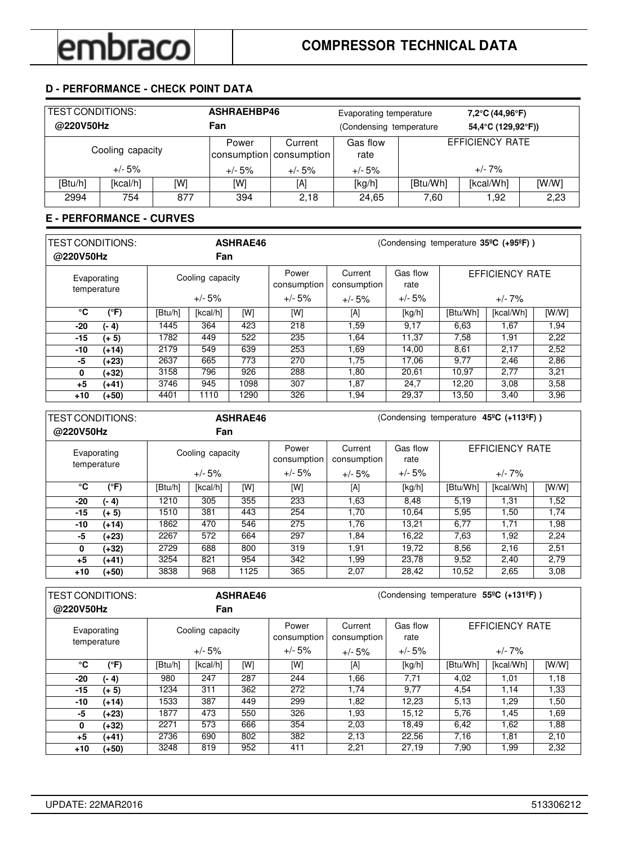## **D - PERFORMANCE - CHECK POINT DATA**

| TEST CONDITIONS:<br>@220V50Hz |                  |     | ASHRAEHBP46<br>Fan | Evaporating temperature<br>(Condensing temperature |                  |                 | 7,2°C (44,96°F)<br>54,4°C (129,92°F)) |       |
|-------------------------------|------------------|-----|--------------------|----------------------------------------------------|------------------|-----------------|---------------------------------------|-------|
|                               | Cooling capacity |     | Power              | Current<br>consumption consumption                 | Gas flow<br>rate | EFFICIENCY RATE |                                       |       |
| $+/- 5\%$                     |                  |     | $+/- 5%$           | $+/- 5%$                                           | $+/- 5%$         |                 | $+/- 7\%$                             |       |
| [Btu/h]                       | [kcal/h]         | [W] | [W]                | [A]                                                | [kg/h]           | [Btu/Wh]        | [kcal/Wh]                             | [W/W] |
| 2994                          | 754              | 877 | 394                | 2.18                                               | 24,65            | 7,60            | 1,92                                  | 2,23  |

### **E - PERFORMANCE - CURVES**

| <b>TEST CONDITIONS:</b><br>@220V50Hz |         |                  | <b>ASHRAE46</b><br>(Condensing temperature 35°C (+95°F))<br>Fan |      |                      |                        |                  |          |                        |       |
|--------------------------------------|---------|------------------|-----------------------------------------------------------------|------|----------------------|------------------------|------------------|----------|------------------------|-------|
| Evaporating<br>temperature           |         | Cooling capacity |                                                                 |      | Power<br>consumption | Current<br>consumption | Gas flow<br>rate |          | <b>EFFICIENCY RATE</b> |       |
|                                      |         |                  | $+/- 5%$                                                        |      | $+/- 5%$             | $+/- 5%$               | $+/- 5%$         |          | $+/- 7\%$              |       |
| °C                                   | (°F)    | [Btu/h]          | [kcal/h]                                                        | [W]  | [W]                  | [A]                    | [kg/h]           | [Btu/Wh] | [kcal/Wh]              | [W/W] |
| -20                                  | (- 4)   | 1445             | 364                                                             | 423  | 218                  | 1.59                   | 9.17             | 6,63     | 1.67                   | 1,94  |
| $-15$                                | $(+ 5)$ | 1782             | 449                                                             | 522  | 235                  | 1,64                   | 11.37            | 7,58     | 1.91                   | 2,22  |
| -10                                  | $(+14)$ | 2179             | 549                                                             | 639  | 253                  | 1,69                   | 14.00            | 8,61     | 2,17                   | 2,52  |
| -5                                   | (+23)   | 2637             | 665                                                             | 773  | 270                  | 1,75                   | 17.06            | 9,77     | 2,46                   | 2,86  |
| 0                                    | (+32)   | 3158             | 796                                                             | 926  | 288                  | 1.80                   | 20,61            | 10,97    | 2,77                   | 3,21  |
| +5                                   | (+41)   | 3746             | 945                                                             | 1098 | 307                  | 1,87                   | 24,7             | 12,20    | 3,08                   | 3,58  |
| $+10$                                | (+50)   | 4401             | 1110                                                            | 1290 | 326                  | 1,94                   | 29,37            | 13,50    | 3,40                   | 3,96  |

|                            |         | <b>ASHRAE46</b>  |          |      | (Condensing temperature 45°C (+113°F)) |                        |                  |                        |           |       |  |
|----------------------------|---------|------------------|----------|------|----------------------------------------|------------------------|------------------|------------------------|-----------|-------|--|
| @220V50Hz                  |         |                  | Fan      |      |                                        |                        |                  |                        |           |       |  |
| Evaporating<br>temperature |         | Cooling capacity |          |      | Power<br>consumption                   | Current<br>consumption | Gas flow<br>rate | <b>EFFICIENCY RATE</b> |           |       |  |
|                            |         |                  | $+/- 5%$ |      | $+/- 5%$                               | $+/- 5%$               | $+/- 5%$         |                        | $+/- 7\%$ |       |  |
| °C                         | (°F)    | [Btu/h]          | [kcal/h] | [W]  | [W]                                    | [A]                    | [kg/h]           | [Btu/Wh]               | [kcal/Wh] | [W/W] |  |
| -20                        | (- 4)   | 1210             | 305      | 355  | 233                                    | 1,63                   | 8,48             | 5,19                   | 1,31      | 1,52  |  |
| -15                        | $(+ 5)$ | 1510             | 381      | 443  | 254                                    | 1,70                   | 10.64            | 5,95                   | 1,50      | 1,74  |  |
| -10                        | $(+14)$ | 1862             | 470      | 546  | 275                                    | 1,76                   | 13,21            | 6,77                   | 1,71      | 1,98  |  |
| -5                         | (+23)   | 2267             | 572      | 664  | 297                                    | 1,84                   | 16,22            | 7,63                   | 1,92      | 2,24  |  |
| 0                          | (+32)   | 2729             | 688      | 800  | 319                                    | 1,91                   | 19,72            | 8,56                   | 2,16      | 2,51  |  |
| $+5$                       | (+41)   | 3254             | 821      | 954  | 342                                    | 1.99                   | 23.78            | 9.52                   | 2.40      | 2,79  |  |
| +10                        | $(+50)$ | 3838             | 968      | 1125 | 365                                    | 2,07                   | 28,42            | 10,52                  | 2,65      | 3,08  |  |

| TEST CONDITIONS:           |         | <b>ASHRAE46</b> |                  |     | (Condensing temperature 55°C (+131°F)) |                        |                  |          |                        |       |
|----------------------------|---------|-----------------|------------------|-----|----------------------------------------|------------------------|------------------|----------|------------------------|-------|
| @220V50Hz                  |         |                 | Fan              |     |                                        |                        |                  |          |                        |       |
| Evaporating<br>temperature |         |                 | Cooling capacity |     | Power<br>consumption                   | Current<br>consumption | Gas flow<br>rate |          | <b>EFFICIENCY RATE</b> |       |
|                            |         |                 | $+/- 5%$         |     | $+/- 5%$                               | $+/- 5%$               | $+/- 5%$         |          | $+/- 7\%$              |       |
| °C                         | (°F)    | [Btu/h]         | [kcal/h]         | [W] | [W]                                    | [A]                    | [kg/h]           | [Btu/Wh] | [kcal/Wh]              | [W/W] |
| -20                        | (- 4)   | 980             | 247              | 287 | 244                                    | 1,66                   | 7,71             | 4,02     | 1.01                   | 1,18  |
| -15                        | $(+ 5)$ | 1234            | 311              | 362 | 272                                    | 1.74                   | 9,77             | 4,54     | 1,14                   | 1,33  |
| -10                        | $(+14)$ | 1533            | 387              | 449 | 299                                    | 1,82                   | 12.23            | 5.13     | 1.29                   | 1.50  |
| -5                         | (+23)   | 1877            | 473              | 550 | 326                                    | 1.93                   | 15.12            | 5,76     | 1.45                   | 1,69  |
| 0                          | (+32)   | 2271            | 573              | 666 | 354                                    | 2,03                   | 18.49            | 6,42     | 1,62                   | 1,88  |
| $+5$                       | (+41)   | 2736            | 690              | 802 | 382                                    | 2,13                   | 22,56            | 7,16     | 1,81                   | 2,10  |
| $+10$                      | (+50)   | 3248            | 819              | 952 | 411                                    | 2,21                   | 27.19            | 7,90     | 1,99                   | 2,32  |